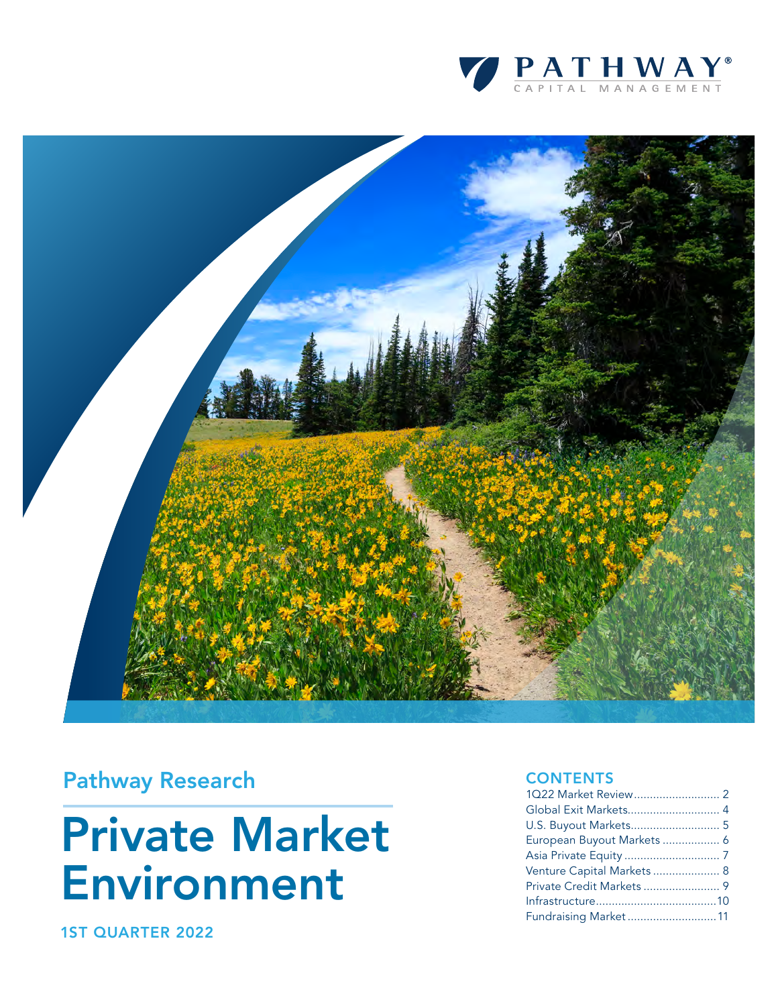



### Pathway Research

# Private Market Environment

1ST QUARTER 2022

#### **CONTENTS**

| Global Exit Markets 4      |  |
|----------------------------|--|
|                            |  |
| European Buyout Markets  6 |  |
|                            |  |
| Venture Capital Markets  8 |  |
|                            |  |
|                            |  |
| Fundraising Market 11      |  |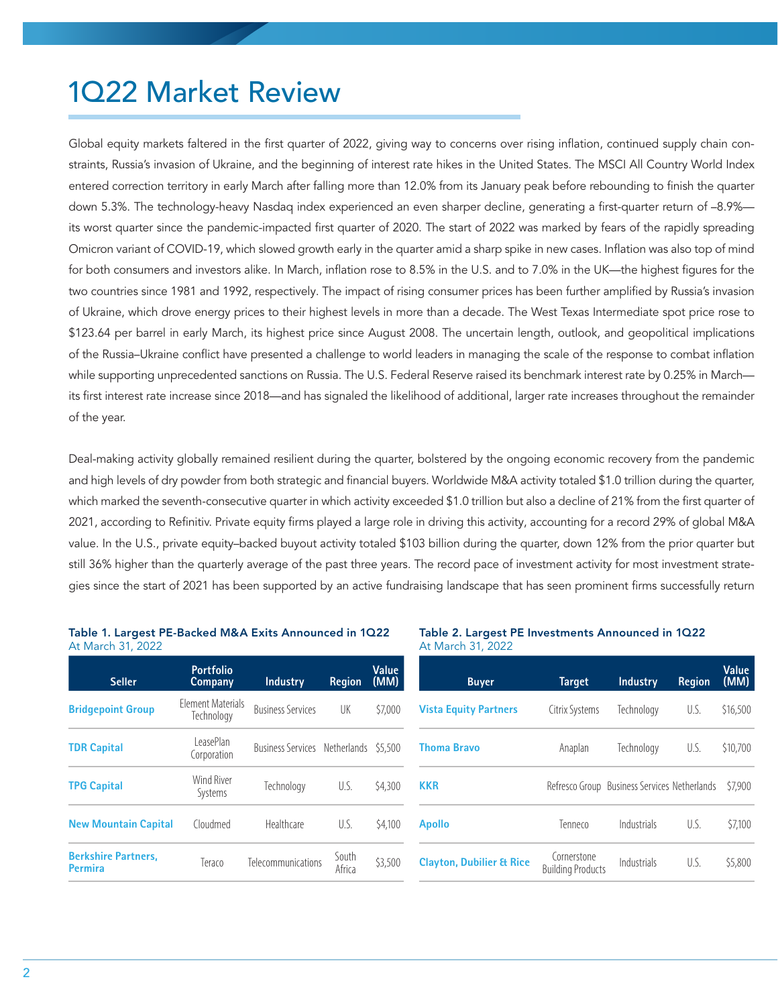# 1Q22 Market Review

Global equity markets faltered in the first quarter of 2022, giving way to concerns over rising inflation, continued supply chain constraints, Russia's invasion of Ukraine, and the beginning of interest rate hikes in the United States. The MSCI All Country World Index entered correction territory in early March after falling more than 12.0% from its January peak before rebounding to finish the quarter down 5.3%. The technology-heavy Nasdaq index experienced an even sharper decline, generating a first-quarter return of -8.9% its worst quarter since the pandemic-impacted first quarter of 2020. The start of 2022 was marked by fears of the rapidly spreading Omicron variant of COVID-19, which slowed growth early in the quarter amid a sharp spike in new cases. Inflation was also top of mind for both consumers and investors alike. In March, inflation rose to 8.5% in the U.S. and to 7.0% in the UK—the highest figures for the two countries since 1981 and 1992, respectively. The impact of rising consumer prices has been further amplified by Russia's invasion of Ukraine, which drove energy prices to their highest levels in more than a decade. The West Texas Intermediate spot price rose to \$123.64 per barrel in early March, its highest price since August 2008. The uncertain length, outlook, and geopolitical implications of the Russia–Ukraine conflict have presented a challenge to world leaders in managing the scale of the response to combat inflation while supporting unprecedented sanctions on Russia. The U.S. Federal Reserve raised its benchmark interest rate by 0.25% in March its first interest rate increase since 2018—and has signaled the likelihood of additional, larger rate increases throughout the remainder of the year.

Deal-making activity globally remained resilient during the quarter, bolstered by the ongoing economic recovery from the pandemic and high levels of dry powder from both strategic and financial buyers. Worldwide M&A activity totaled \$1.0 trillion during the quarter, which marked the seventh-consecutive quarter in which activity exceeded \$1.0 trillion but also a decline of 21% from the first quarter of 2021, according to Refinitiv. Private equity firms played a large role in driving this activity, accounting for a record 29% of global M&A value. In the U.S., private equity–backed buyout activity totaled \$103 billion during the quarter, down 12% from the prior quarter but still 36% higher than the quarterly average of the past three years. The record pace of investment activity for most investment strategies since the start of 2021 has been supported by an active fundraising landscape that has seen prominent firms successfully return

| At March 31, 2022                            |                                        |                                       |                 |               |
|----------------------------------------------|----------------------------------------|---------------------------------------|-----------------|---------------|
| <b>Seller</b>                                | <b>Portfolio</b><br>Company            | <b>Industry</b>                       | <b>Region</b>   | Value<br>(MM) |
| <b>Bridgepoint Group</b>                     | <b>Flement Materials</b><br>Technology | <b>Business Services</b>              | UK              | \$7,000       |
| <b>TDR Capital</b>                           | LeasePlan<br>Corporation               | Business Services Netherlands \$5,500 |                 |               |
| <b>TPG Capital</b>                           | <b>Wind River</b><br>Systems           | Technology                            | U.S.            | \$4,300       |
| <b>New Mountain Capital</b>                  | Cloudmed                               | Healthcare                            | U.S.            | \$4,100       |
| <b>Berkshire Partners.</b><br><b>Permira</b> | Teraco                                 | Telecommunications                    | South<br>Africa | \$3,500       |

### Table 1. Largest PE-Backed M&A Exits Announced in 1Q22

#### Table 2. Largest PE Investments Announced in 1Q22 At March 31, 2022

| <b>Buyer</b>                        | <b>Target</b>                           | <b>Industry</b>                              | <b>Region</b> | Value<br>(MM) |
|-------------------------------------|-----------------------------------------|----------------------------------------------|---------------|---------------|
| <b>Vista Equity Partners</b>        | Citrix Systems                          | Technology                                   | U.S.          | \$16,500      |
| <b>Thoma Bravo</b>                  | Anaplan                                 | Technology                                   | U.S.          | \$10,700      |
| <b>KKR</b>                          |                                         | Refresco Group Business Services Netherlands |               | \$7,900       |
| <b>Apollo</b>                       | Tenneco                                 | Industrials                                  | U.S.          | \$7,100       |
| <b>Clayton, Dubilier &amp; Rice</b> | Cornerstone<br><b>Building Products</b> | Industrials                                  | U.S.          | \$5,800       |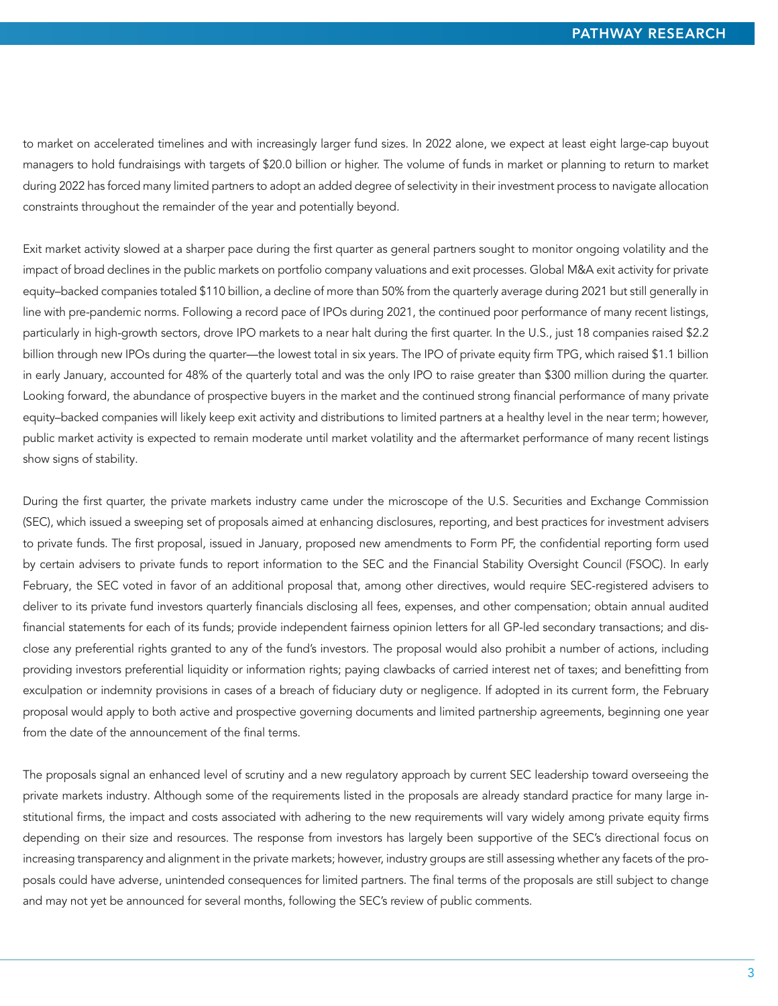to market on accelerated timelines and with increasingly larger fund sizes. In 2022 alone, we expect at least eight large-cap buyout managers to hold fundraisings with targets of \$20.0 billion or higher. The volume of funds in market or planning to return to market during 2022 has forced many limited partners to adopt an added degree of selectivity in their investment process to navigate allocation constraints throughout the remainder of the year and potentially beyond.

Exit market activity slowed at a sharper pace during the first quarter as general partners sought to monitor ongoing volatility and the impact of broad declines in the public markets on portfolio company valuations and exit processes. Global M&A exit activity for private equity–backed companies totaled \$110 billion, a decline of more than 50% from the quarterly average during 2021 but still generally in line with pre-pandemic norms. Following a record pace of IPOs during 2021, the continued poor performance of many recent listings, particularly in high-growth sectors, drove IPO markets to a near halt during the first quarter. In the U.S., just 18 companies raised \$2.2 billion through new IPOs during the quarter—the lowest total in six years. The IPO of private equity firm TPG, which raised \$1.1 billion in early January, accounted for 48% of the quarterly total and was the only IPO to raise greater than \$300 million during the quarter. Looking forward, the abundance of prospective buyers in the market and the continued strong financial performance of many private equity–backed companies will likely keep exit activity and distributions to limited partners at a healthy level in the near term; however, public market activity is expected to remain moderate until market volatility and the aftermarket performance of many recent listings show signs of stability.

During the first quarter, the private markets industry came under the microscope of the U.S. Securities and Exchange Commission (SEC), which issued a sweeping set of proposals aimed at enhancing disclosures, reporting, and best practices for investment advisers to private funds. The first proposal, issued in January, proposed new amendments to Form PF, the confidential reporting form used by certain advisers to private funds to report information to the SEC and the Financial Stability Oversight Council (FSOC). In early February, the SEC voted in favor of an additional proposal that, among other directives, would require SEC-registered advisers to deliver to its private fund investors quarterly financials disclosing all fees, expenses, and other compensation; obtain annual audited financial statements for each of its funds; provide independent fairness opinion letters for all GP-led secondary transactions; and disclose any preferential rights granted to any of the fund's investors. The proposal would also prohibit a number of actions, including providing investors preferential liquidity or information rights; paying clawbacks of carried interest net of taxes; and benefitting from exculpation or indemnity provisions in cases of a breach of fiduciary duty or negligence. If adopted in its current form, the February proposal would apply to both active and prospective governing documents and limited partnership agreements, beginning one year from the date of the announcement of the final terms.

The proposals signal an enhanced level of scrutiny and a new regulatory approach by current SEC leadership toward overseeing the private markets industry. Although some of the requirements listed in the proposals are already standard practice for many large institutional firms, the impact and costs associated with adhering to the new requirements will vary widely among private equity firms depending on their size and resources. The response from investors has largely been supportive of the SEC's directional focus on increasing transparency and alignment in the private markets; however, industry groups are still assessing whether any facets of the proposals could have adverse, unintended consequences for limited partners. The final terms of the proposals are still subject to change and may not yet be announced for several months, following the SEC's review of public comments.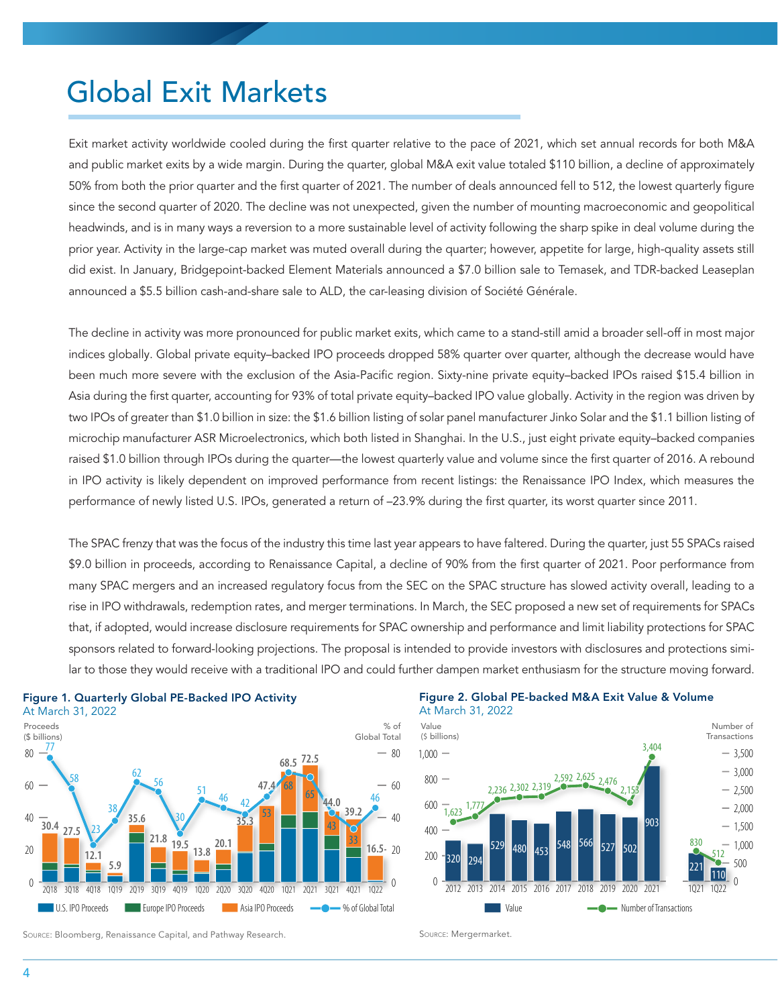### Global Exit Markets

Exit market activity worldwide cooled during the first quarter relative to the pace of 2021, which set annual records for both M&A and public market exits by a wide margin. During the quarter, global M&A exit value totaled \$110 billion, a decline of approximately 50% from both the prior quarter and the first quarter of 2021. The number of deals announced fell to 512, the lowest quarterly figure since the second quarter of 2020. The decline was not unexpected, given the number of mounting macroeconomic and geopolitical headwinds, and is in many ways a reversion to a more sustainable level of activity following the sharp spike in deal volume during the prior year. Activity in the large-cap market was muted overall during the quarter; however, appetite for large, high-quality assets still did exist. In January, Bridgepoint-backed Element Materials announced a \$7.0 billion sale to Temasek, and TDR-backed Leaseplan announced a \$5.5 billion cash-and-share sale to ALD, the car-leasing division of Société Générale.

The decline in activity was more pronounced for public market exits, which came to a stand-still amid a broader sell-off in most major indices globally. Global private equity–backed IPO proceeds dropped 58% quarter over quarter, although the decrease would have been much more severe with the exclusion of the Asia-Pacific region. Sixty-nine private equity–backed IPOs raised \$15.4 billion in Asia during the first quarter, accounting for 93% of total private equity–backed IPO value globally. Activity in the region was driven by two IPOs of greater than \$1.0 billion in size: the \$1.6 billion listing of solar panel manufacturer Jinko Solar and the \$1.1 billion listing of microchip manufacturer ASR Microelectronics, which both listed in Shanghai. In the U.S., just eight private equity–backed companies raised \$1.0 billion through IPOs during the quarter—the lowest quarterly value and volume since the first quarter of 2016. A rebound in IPO activity is likely dependent on improved performance from recent listings: the Renaissance IPO Index, which measures the performance of newly listed U.S. IPOs, generated a return of –23.9% during the first quarter, its worst quarter since 2011.

The SPAC frenzy that was the focus of the industry this time last year appears to have faltered. During the quarter, just 55 SPACs raised \$9.0 billion in proceeds, according to Renaissance Capital, a decline of 90% from the first quarter of 2021. Poor performance from many SPAC mergers and an increased regulatory focus from the SEC on the SPAC structure has slowed activity overall, leading to a rise in IPO withdrawals, redemption rates, and merger terminations. In March, the SEC proposed a new set of requirements for SPACs that, if adopted, would increase disclosure requirements for SPAC ownership and performance and limit liability protections for SPAC sponsors related to forward-looking projections. The proposal is intended to provide investors with disclosures and protections similar to those they would receive with a traditional IPO and could further dampen market enthusiasm for the structure moving forward.



#### Figure 1. Quarterly Global PE-Backed IPO Activity





Source: Bloomberg, Renaissance Capital, and Pathway Research.

Source: Mergermarket.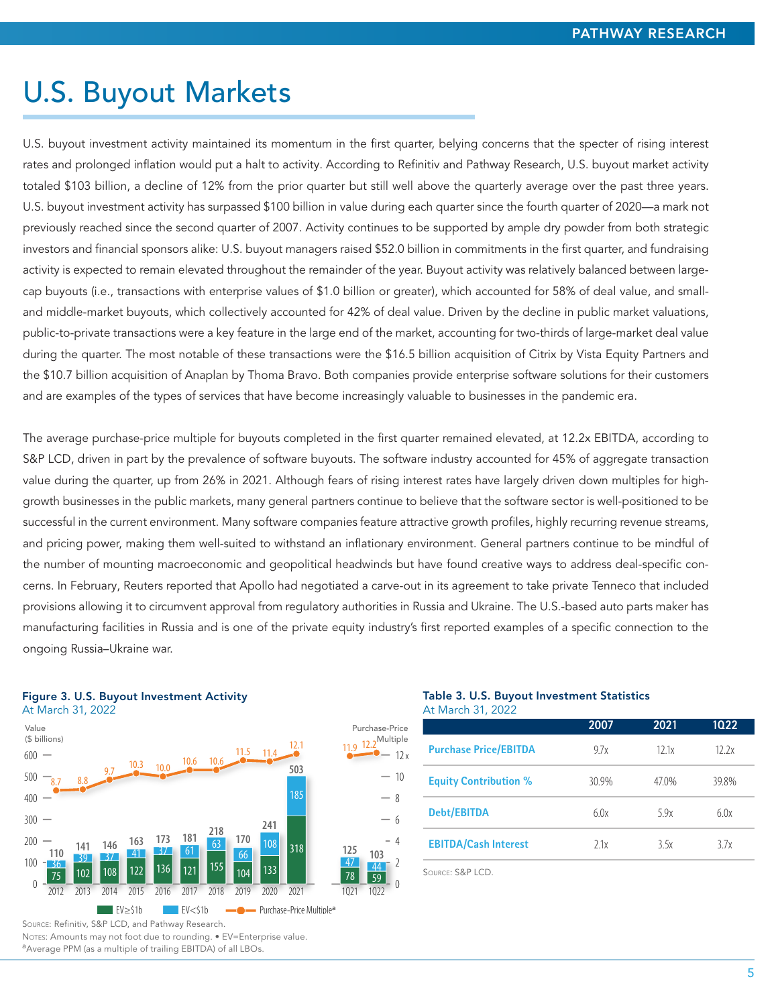### U.S. Buyout Markets

U.S. buyout investment activity maintained its momentum in the first quarter, belying concerns that the specter of rising interest rates and prolonged inflation would put a halt to activity. According to Refinitiv and Pathway Research, U.S. buyout market activity totaled \$103 billion, a decline of 12% from the prior quarter but still well above the quarterly average over the past three years. U.S. buyout investment activity has surpassed \$100 billion in value during each quarter since the fourth quarter of 2020—a mark not previously reached since the second quarter of 2007. Activity continues to be supported by ample dry powder from both strategic investors and financial sponsors alike: U.S. buyout managers raised \$52.0 billion in commitments in the first quarter, and fundraising activity is expected to remain elevated throughout the remainder of the year. Buyout activity was relatively balanced between largecap buyouts (i.e., transactions with enterprise values of \$1.0 billion or greater), which accounted for 58% of deal value, and smalland middle-market buyouts, which collectively accounted for 42% of deal value. Driven by the decline in public market valuations, public-to-private transactions were a key feature in the large end of the market, accounting for two-thirds of large-market deal value during the quarter. The most notable of these transactions were the \$16.5 billion acquisition of Citrix by Vista Equity Partners and the \$10.7 billion acquisition of Anaplan by Thoma Bravo. Both companies provide enterprise software solutions for their customers and are examples of the types of services that have become increasingly valuable to businesses in the pandemic era.

The average purchase-price multiple for buyouts completed in the first quarter remained elevated, at 12.2x EBITDA, according to S&P LCD, driven in part by the prevalence of software buyouts. The software industry accounted for 45% of aggregate transaction value during the quarter, up from 26% in 2021. Although fears of rising interest rates have largely driven down multiples for highgrowth businesses in the public markets, many general partners continue to believe that the software sector is well-positioned to be successful in the current environment. Many software companies feature attractive growth profiles, highly recurring revenue streams, and pricing power, making them well-suited to withstand an inflationary environment. General partners continue to be mindful of the number of mounting macroeconomic and geopolitical headwinds but have found creative ways to address deal-specific concerns. In February, Reuters reported that Apollo had negotiated a carve-out in its agreement to take private Tenneco that included provisions allowing it to circumvent approval from regulatory authorities in Russia and Ukraine. The U.S.-based auto parts maker has manufacturing facilities in Russia and is one of the private equity industry's first reported examples of a specific connection to the ongoing Russia–Ukraine war.

#### Figure 3. U.S. Buyout Investment Activity



#### Table 3. U.S. Buyout Investment Statistics At March 31, 2022

|                              | 2007  | 2021 | 1022  |
|------------------------------|-------|------|-------|
| <b>Purchase Price/EBITDA</b> | 97x   | 121x | 12.2x |
| <b>Equity Contribution %</b> | 30.9% | 470% | 398%  |
| <b>Debt/EBITDA</b>           | 60x   | 59x  | 6.0x  |
| <b>EBITDA/Cash Interest</b>  | 71x   | 3.5x | 37x   |

Source: S&P LCD.

2 4  $-6$ 8  $-10$ 12 x

44

Source: Refinitiv, S&P LCD, and Pathway Research.

Notes: Amounts may not foot due to rounding. • EV=Enterprise value.

aAverage PPM (as a multiple of trailing EBITDA) of all LBOs.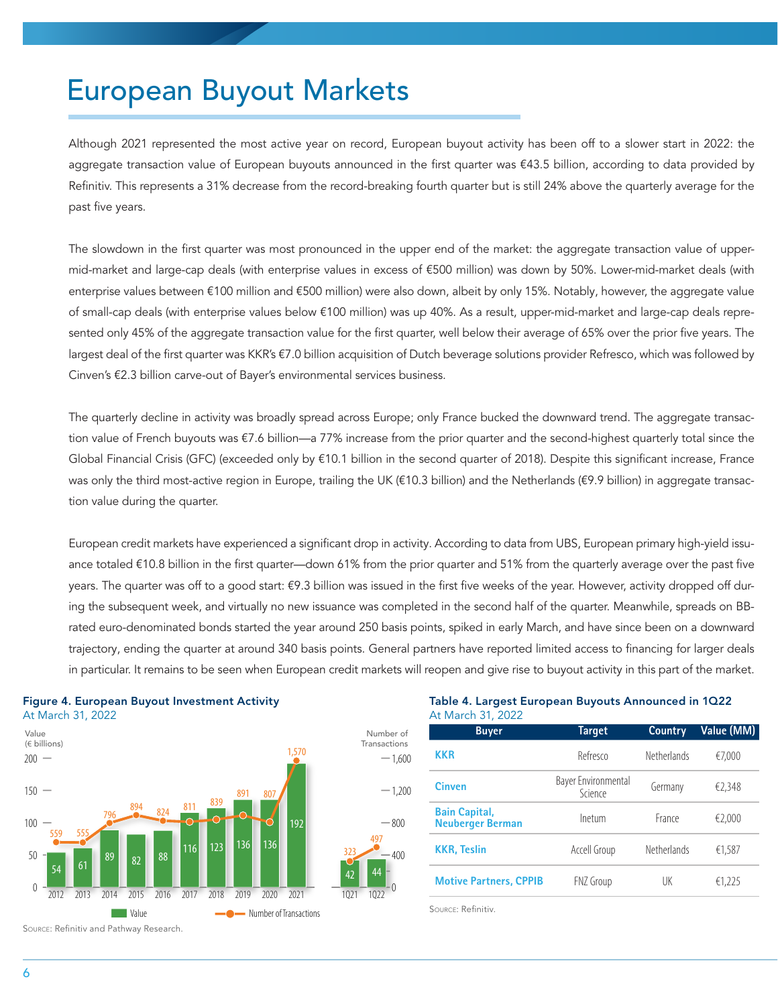### European Buyout Markets

Although 2021 represented the most active year on record, European buyout activity has been off to a slower start in 2022: the aggregate transaction value of European buyouts announced in the first quarter was €43.5 billion, according to data provided by Refinitiv. This represents a 31% decrease from the record-breaking fourth quarter but is still 24% above the quarterly average for the past five years.

The slowdown in the first quarter was most pronounced in the upper end of the market: the aggregate transaction value of uppermid-market and large-cap deals (with enterprise values in excess of €500 million) was down by 50%. Lower-mid-market deals (with enterprise values between €100 million and €500 million) were also down, albeit by only 15%. Notably, however, the aggregate value of small-cap deals (with enterprise values below €100 million) was up 40%. As a result, upper-mid-market and large-cap deals represented only 45% of the aggregate transaction value for the first quarter, well below their average of 65% over the prior five years. The largest deal of the first quarter was KKR's €7.0 billion acquisition of Dutch beverage solutions provider Refresco, which was followed by Cinven's €2.3 billion carve-out of Bayer's environmental services business.

The quarterly decline in activity was broadly spread across Europe; only France bucked the downward trend. The aggregate transaction value of French buyouts was €7.6 billion—a 77% increase from the prior quarter and the second-highest quarterly total since the Global Financial Crisis (GFC) (exceeded only by €10.1 billion in the second quarter of 2018). Despite this significant increase, France was only the third most-active region in Europe, trailing the UK (€10.3 billion) and the Netherlands (€9.9 billion) in aggregate transaction value during the quarter.

European credit markets have experienced a significant drop in activity. According to data from UBS, European primary high-yield issuance totaled €10.8 billion in the first quarter—down 61% from the prior quarter and 51% from the quarterly average over the past five years. The quarter was off to a good start: €9.3 billion was issued in the first five weeks of the year. However, activity dropped off during the subsequent week, and virtually no new issuance was completed in the second half of the quarter. Meanwhile, spreads on BBrated euro-denominated bonds started the year around 250 basis points, spiked in early March, and have since been on a downward trajectory, ending the quarter at around 340 basis points. General partners have reported limited access to financing for larger deals in particular. It remains to be seen when European credit markets will reopen and give rise to buyout activity in this part of the market.

> 44 0

497

400

 $-800$ 

 $-1,200$ 

 $-1,600$ 

Number of Transactions



Figure 4. European Buyout Investment Activity At March 31, 2022

Source: Refinitiv and Pathway Research.

#### Table 4. Largest European Buyouts Announced in 1Q22 At March 31, 2022

| <b>Buyer</b>                                    | Target                         | <b>Country</b> | Value (MM) |
|-------------------------------------------------|--------------------------------|----------------|------------|
| <b>KKR</b>                                      | Refresco                       | Netherlands    | €7.000     |
| Cinven                                          | Bayer Environmental<br>Science | Germany        | €2,348     |
| <b>Bain Capital,</b><br><b>Neuberger Berman</b> | Inetum                         | France         | €2,000     |
| <b>KKR, Teslin</b>                              | Accell Group                   | Netherlands    | €1.587     |
| <b>Motive Partners, CPPIB</b>                   | FNZ Group                      | UK             | €1,225     |

Source: Refinitiv.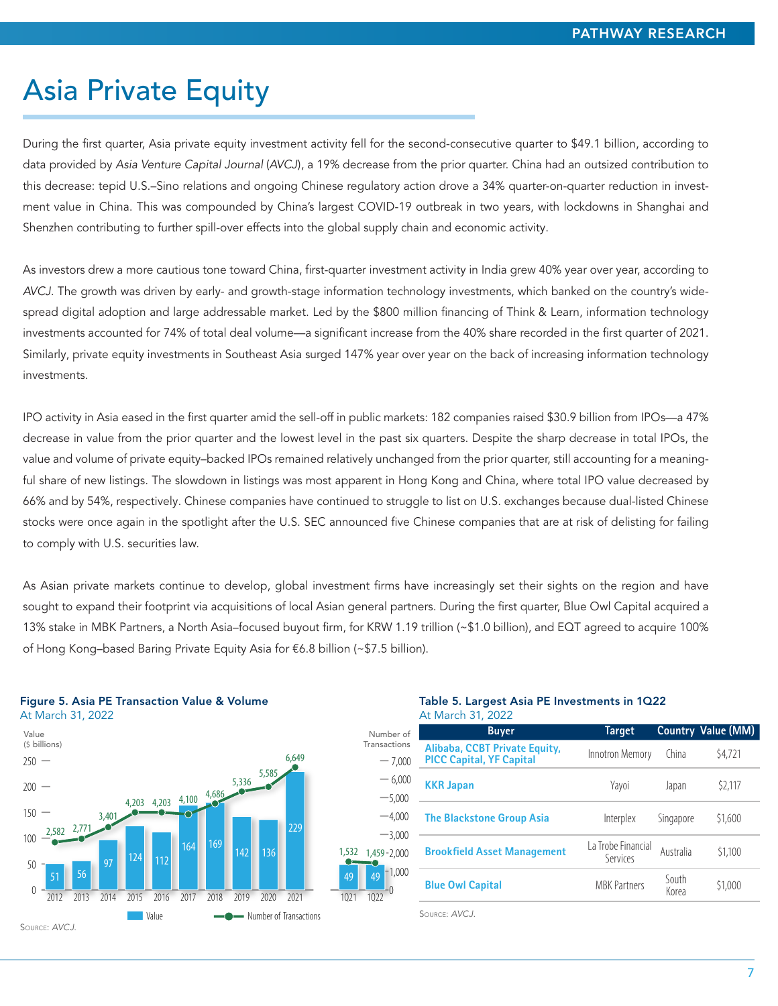# Asia Private Equity

During the first quarter, Asia private equity investment activity fell for the second-consecutive quarter to \$49.1 billion, according to data provided by *Asia Venture Capital Journal* (*AVCJ*), a 19% decrease from the prior quarter. China had an outsized contribution to this decrease: tepid U.S.–Sino relations and ongoing Chinese regulatory action drove a 34% quarter-on-quarter reduction in investment value in China. This was compounded by China's largest COVID-19 outbreak in two years, with lockdowns in Shanghai and Shenzhen contributing to further spill-over effects into the global supply chain and economic activity.

As investors drew a more cautious tone toward China, first-quarter investment activity in India grew 40% year over year, according to *AVCJ*. The growth was driven by early- and growth-stage information technology investments, which banked on the country's widespread digital adoption and large addressable market. Led by the \$800 million financing of Think & Learn, information technology investments accounted for 74% of total deal volume—a significant increase from the 40% share recorded in the first quarter of 2021. Similarly, private equity investments in Southeast Asia surged 147% year over year on the back of increasing information technology investments.

IPO activity in Asia eased in the first quarter amid the sell-off in public markets: 182 companies raised \$30.9 billion from IPOs—a 47% decrease in value from the prior quarter and the lowest level in the past six quarters. Despite the sharp decrease in total IPOs, the value and volume of private equity–backed IPOs remained relatively unchanged from the prior quarter, still accounting for a meaningful share of new listings. The slowdown in listings was most apparent in Hong Kong and China, where total IPO value decreased by 66% and by 54%, respectively. Chinese companies have continued to struggle to list on U.S. exchanges because dual-listed Chinese stocks were once again in the spotlight after the U.S. SEC announced five Chinese companies that are at risk of delisting for failing to comply with U.S. securities law.

As Asian private markets continue to develop, global investment firms have increasingly set their sights on the region and have sought to expand their footprint via acquisitions of local Asian general partners. During the first quarter, Blue Owl Capital acquired a 13% stake in MBK Partners, a North Asia–focused buyout firm, for KRW 1.19 trillion (~\$1.0 billion), and EQT agreed to acquire 100% of Hong Kong–based Baring Private Equity Asia for €6.8 billion (~\$7.5 billion).



### Figure 5. Asia PE Transaction Value & Volume

#### Table 5. Largest Asia PE Investments in 1Q22 At March 31, 2022

| Number of                            | <b>Buyer</b>                                                     | Target                         |                | <b>Country Value (MM)</b> |
|--------------------------------------|------------------------------------------------------------------|--------------------------------|----------------|---------------------------|
| Transactions<br>$-7.000$             | Alibaba, CCBT Private Equity,<br><b>PICC Capital, YF Capital</b> | Innotron Memory                | China          | \$4,721                   |
| $-6.000$<br>$-5.000$                 | <b>KKR Japan</b>                                                 | Yayoi                          | Japan          | \$2,117                   |
| $-4.000$<br>$-3.000$                 | <b>The Blackstone Group Asia</b>                                 | Interplex                      | Singapore      | \$1,600                   |
| 1,532<br>$1,459 - 2,000$             | <b>Brookfield Asset Management</b>                               | La Trobe Financial<br>Services | Australia      | \$1,100                   |
| $-1,000$<br>49<br>49<br>1022<br>1021 | <b>Blue Owl Capital</b>                                          | <b>MBK Partners</b>            | South<br>Korea | \$1,000                   |
|                                      |                                                                  |                                |                |                           |

Source: *AVCJ*.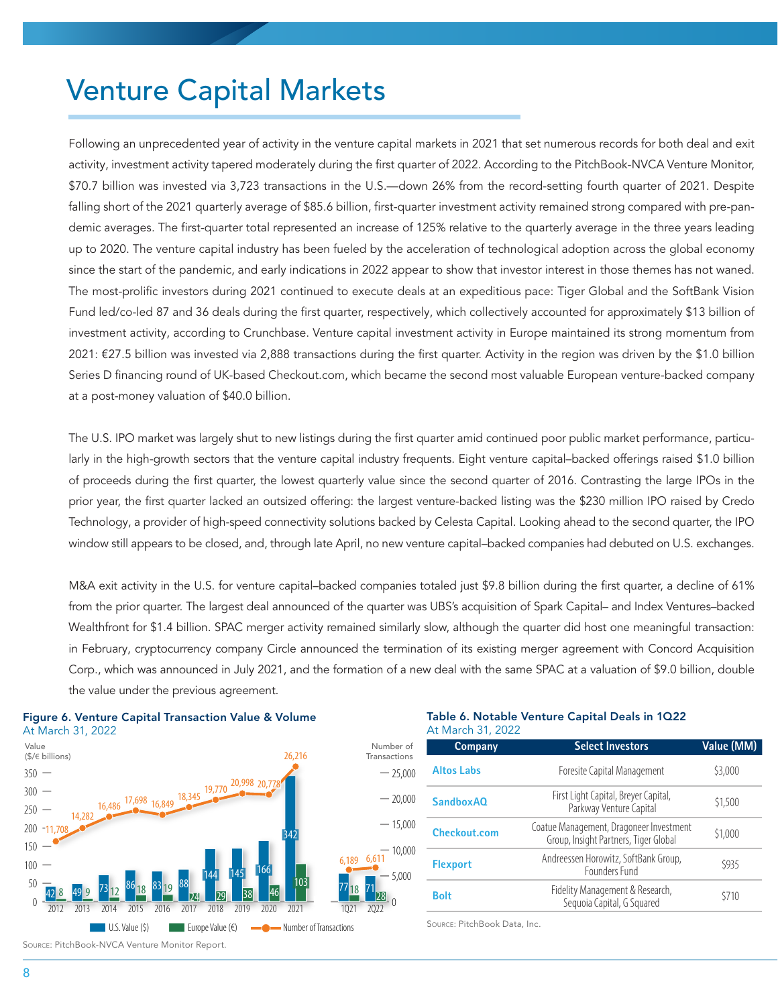### Venture Capital Markets

Following an unprecedented year of activity in the venture capital markets in 2021 that set numerous records for both deal and exit activity, investment activity tapered moderately during the first quarter of 2022. According to the PitchBook-NVCA Venture Monitor, \$70.7 billion was invested via 3,723 transactions in the U.S.—down 26% from the record-setting fourth quarter of 2021. Despite falling short of the 2021 quarterly average of \$85.6 billion, first-quarter investment activity remained strong compared with pre-pandemic averages. The first-quarter total represented an increase of 125% relative to the quarterly average in the three years leading up to 2020. The venture capital industry has been fueled by the acceleration of technological adoption across the global economy since the start of the pandemic, and early indications in 2022 appear to show that investor interest in those themes has not waned. The most-prolific investors during 2021 continued to execute deals at an expeditious pace: Tiger Global and the SoftBank Vision Fund led/co-led 87 and 36 deals during the first quarter, respectively, which collectively accounted for approximately \$13 billion of investment activity, according to Crunchbase. Venture capital investment activity in Europe maintained its strong momentum from 2021: €27.5 billion was invested via 2,888 transactions during the first quarter. Activity in the region was driven by the \$1.0 billion Series D financing round of UK-based Checkout.com, which became the second most valuable European venture-backed company at a post-money valuation of \$40.0 billion.

The U.S. IPO market was largely shut to new listings during the first quarter amid continued poor public market performance, particularly in the high-growth sectors that the venture capital industry frequents. Eight venture capital–backed offerings raised \$1.0 billion of proceeds during the first quarter, the lowest quarterly value since the second quarter of 2016. Contrasting the large IPOs in the prior year, the first quarter lacked an outsized offering: the largest venture-backed listing was the \$230 million IPO raised by Credo Technology, a provider of high-speed connectivity solutions backed by Celesta Capital. Looking ahead to the second quarter, the IPO window still appears to be closed, and, through late April, no new venture capital–backed companies had debuted on U.S. exchanges.

M&A exit activity in the U.S. for venture capital–backed companies totaled just \$9.8 billion during the first quarter, a decline of 61% from the prior quarter. The largest deal announced of the quarter was UBS's acquisition of Spark Capital– and Index Ventures–backed Wealthfront for \$1.4 billion. SPAC merger activity remained similarly slow, although the quarter did host one meaningful transaction: in February, cryptocurrency company Circle announced the termination of its existing merger agreement with Concord Acquisition Corp., which was announced in July 2021, and the formation of a new deal with the same SPAC at a valuation of \$9.0 billion, double the value under the previous agreement.

 $\mathbf{0}$ 





#### Table 6. Notable Venture Capital Deals in 1Q22 At March 31, 2022

| Company           | <b>Select Investors</b>                                                          | Value (MM) |
|-------------------|----------------------------------------------------------------------------------|------------|
| <b>Altos Labs</b> | Foresite Capital Management                                                      | \$3,000    |
| <b>Sandbox AO</b> | First Light Capital, Breyer Capital,<br>Parkway Venture Capital                  | \$1,500    |
| Checkout.com      | Coatue Management, Dragoneer Investment<br>Group, Insight Partners, Tiger Global | \$1,000    |
| <b>Flexport</b>   | Andreessen Horowitz, SoftBank Group,<br>Founders Fund                            | \$935      |
| <b>Bolt</b>       | Fidelity Management & Research,<br>Seguoia Capital, G Squared                    | \$710      |

Source: PitchBook Data, Inc.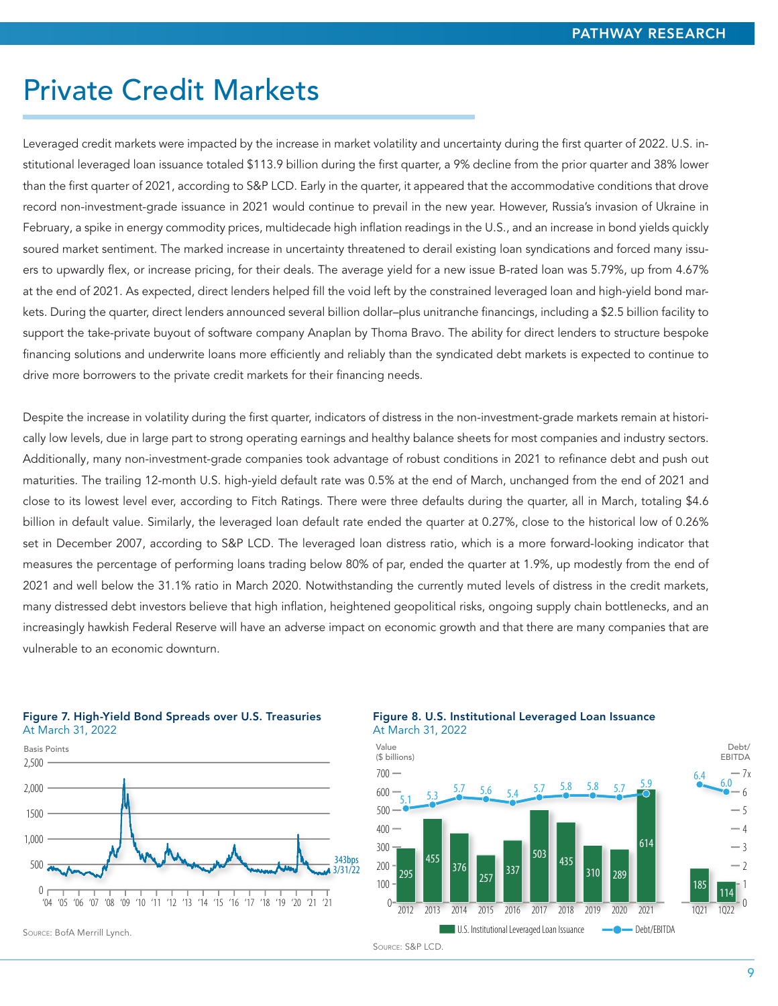### Private Credit Markets

Leveraged credit markets were impacted by the increase in market volatility and uncertainty during the first quarter of 2022. U.S. institutional leveraged loan issuance totaled \$113.9 billion during the first quarter, a 9% decline from the prior quarter and 38% lower than the first quarter of 2021, according to S&P LCD. Early in the quarter, it appeared that the accommodative conditions that drove record non-investment-grade issuance in 2021 would continue to prevail in the new year. However, Russia's invasion of Ukraine in February, a spike in energy commodity prices, multidecade high inflation readings in the U.S., and an increase in bond yields quickly soured market sentiment. The marked increase in uncertainty threatened to derail existing loan syndications and forced many issuers to upwardly flex, or increase pricing, for their deals. The average yield for a new issue B-rated loan was 5.79%, up from 4.67% at the end of 2021. As expected, direct lenders helped fill the void left by the constrained leveraged loan and high-yield bond markets. During the quarter, direct lenders announced several billion dollar–plus unitranche financings, including a \$2.5 billion facility to support the take-private buyout of software company Anaplan by Thoma Bravo. The ability for direct lenders to structure bespoke financing solutions and underwrite loans more efficiently and reliably than the syndicated debt markets is expected to continue to drive more borrowers to the private credit markets for their financing needs.

Despite the increase in volatility during the first quarter, indicators of distress in the non-investment-grade markets remain at historically low levels, due in large part to strong operating earnings and healthy balance sheets for most companies and industry sectors. Additionally, many non-investment-grade companies took advantage of robust conditions in 2021 to refinance debt and push out maturities. The trailing 12-month U.S. high-yield default rate was 0.5% at the end of March, unchanged from the end of 2021 and close to its lowest level ever, according to Fitch Ratings. There were three defaults during the quarter, all in March, totaling \$4.6 billion in default value. Similarly, the leveraged loan default rate ended the quarter at 0.27%, close to the historical low of 0.26% set in December 2007, according to S&P LCD. The leveraged loan distress ratio, which is a more forward-looking indicator that measures the percentage of performing loans trading below 80% of par, ended the quarter at 1.9%, up modestly from the end of 2021 and well below the 31.1% ratio in March 2020. Notwithstanding the currently muted levels of distress in the credit markets, many distressed debt investors believe that high inflation, heightened geopolitical risks, ongoing supply chain bottlenecks, and an increasingly hawkish Federal Reserve will have an adverse impact on economic growth and that there are many companies that are vulnerable to an economic downturn.



Figure 7. High-Yield Bond Spreads over U.S. Treasuries

Source: BofA Merrill Lynch.

Figure 8. U.S. Institutional Leveraged Loan Issuance At March 31, 2022

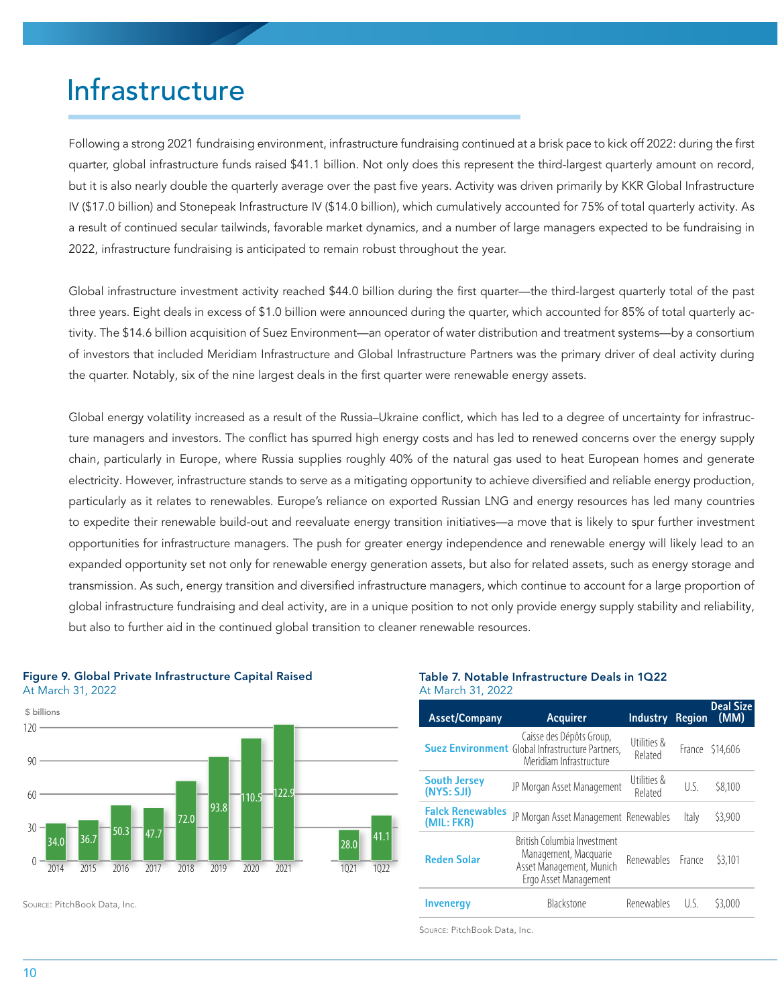# Infrastructure

Following a strong 2021 fundraising environment, infrastructure fundraising continued at a brisk pace to kick off 2022: during the first quarter, global infrastructure funds raised \$41.1 billion. Not only does this represent the third-largest quarterly amount on record, but it is also nearly double the quarterly average over the past five years. Activity was driven primarily by KKR Global Infrastructure IV (\$17.0 billion) and Stonepeak Infrastructure IV (\$14.0 billion), which cumulatively accounted for 75% of total quarterly activity. As a result of continued secular tailwinds, favorable market dynamics, and a number of large managers expected to be fundraising in 2022, infrastructure fundraising is anticipated to remain robust throughout the year.

Global infrastructure investment activity reached \$44.0 billion during the first quarter—the third-largest quarterly total of the past three years. Eight deals in excess of \$1.0 billion were announced during the quarter, which accounted for 85% of total quarterly activity. The \$14.6 billion acquisition of Suez Environment—an operator of water distribution and treatment systems—by a consortium of investors that included Meridiam Infrastructure and Global Infrastructure Partners was the primary driver of deal activity during the quarter. Notably, six of the nine largest deals in the first quarter were renewable energy assets.

Global energy volatility increased as a result of the Russia–Ukraine conflict, which has led to a degree of uncertainty for infrastructure managers and investors. The conflict has spurred high energy costs and has led to renewed concerns over the energy supply chain, particularly in Europe, where Russia supplies roughly 40% of the natural gas used to heat European homes and generate electricity. However, infrastructure stands to serve as a mitigating opportunity to achieve diversified and reliable energy production, particularly as it relates to renewables. Europe's reliance on exported Russian LNG and energy resources has led many countries to expedite their renewable build-out and reevaluate energy transition initiatives—a move that is likely to spur further investment opportunities for infrastructure managers. The push for greater energy independence and renewable energy will likely lead to an expanded opportunity set not only for renewable energy generation assets, but also for related assets, such as energy storage and transmission. As such, energy transition and diversified infrastructure managers, which continue to account for a large proportion of global infrastructure fundraising and deal activity, are in a unique position to not only provide energy supply stability and reliability, but also to further aid in the continued global transition to cleaner renewable resources.





Source: PitchBook Data, Inc.

#### Table 7. Notable Infrastructure Deals in 1Q22 At March 31, 2022

| <b>Asset/Company</b>                  | Acquirer                                                                                                       | <b>Industry</b>        | <b>Region</b> | <b>Deal Size</b><br>(MM) |
|---------------------------------------|----------------------------------------------------------------------------------------------------------------|------------------------|---------------|--------------------------|
|                                       | Caisse des Dépôts Group,<br><b>Suez Environment Global Infrastructure Partners,</b><br>Meridiam Infrastructure | Utilities &<br>Related |               | France \$14,606          |
| <b>South Jersey</b><br>(NYS: SJI)     | JP Morgan Asset Management                                                                                     | Utilities &<br>Related | U.S.          | \$8,100                  |
| <b>Falck Renewables</b><br>(MIL: FKR) | JP Morgan Asset Management Renewables                                                                          |                        | Italy         | \$3,900                  |
| <b>Reden Solar</b>                    | British Columbia Investment<br>Management, Macquarie<br>Asset Management, Munich<br>Ergo Asset Management      | Renewables France      |               | \$3,101                  |
| <b>Invenergy</b>                      | Blackstone                                                                                                     | Renewables             | IJς           | \$3,000                  |

Source: PitchBook Data, Inc.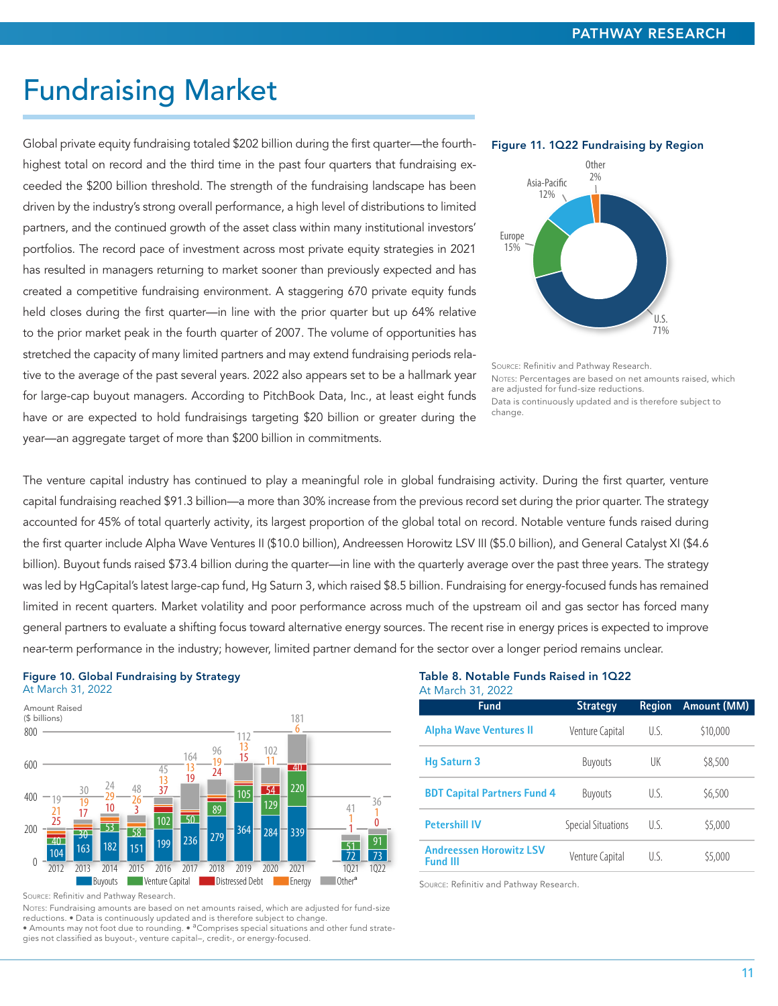### Fundraising Market

Global private equity fundraising totaled \$202 billion during the first quarter—the fourthhighest total on record and the third time in the past four quarters that fundraising exceeded the \$200 billion threshold. The strength of the fundraising landscape has been driven by the industry's strong overall performance, a high level of distributions to limited partners, and the continued growth of the asset class within many institutional investors' portfolios. The record pace of investment across most private equity strategies in 2021 has resulted in managers returning to market sooner than previously expected and has created a competitive fundraising environment. A staggering 670 private equity funds held closes during the first quarter—in line with the prior quarter but up 64% relative to the prior market peak in the fourth quarter of 2007. The volume of opportunities has stretched the capacity of many limited partners and may extend fundraising periods relative to the average of the past several years. 2022 also appears set to be a hallmark year for large-cap buyout managers. According to PitchBook Data, Inc., at least eight funds have or are expected to hold fundraisings targeting \$20 billion or greater during the year—an aggregate target of more than \$200 billion in commitments.



Source: Refinitiv and Pathway Research. NOTES: Percentages are based on net amounts raised, which are adjusted for fund-size reductions. Data is continuously updated and is therefore subject to change.

The venture capital industry has continued to play a meaningful role in global fundraising activity. During the first quarter, venture capital fundraising reached \$91.3 billion—a more than 30% increase from the previous record set during the prior quarter. The strategy accounted for 45% of total quarterly activity, its largest proportion of the global total on record. Notable venture funds raised during the first quarter include Alpha Wave Ventures II (\$10.0 billion), Andreessen Horowitz LSV III (\$5.0 billion), and General Catalyst XI (\$4.6 billion). Buyout funds raised \$73.4 billion during the quarter—in line with the quarterly average over the past three years. The strategy was led by HgCapital's latest large-cap fund, Hg Saturn 3, which raised \$8.5 billion. Fundraising for energy-focused funds has remained limited in recent quarters. Market volatility and poor performance across much of the upstream oil and gas sector has forced many general partners to evaluate a shifting focus toward alternative energy sources. The recent rise in energy prices is expected to improve near-term performance in the industry; however, limited partner demand for the sector over a longer period remains unclear.

72

1 1 41

51

0 1 36

73 91

181 6

40

220

#### Figure 10. Global Fundraising by Strategy At March 31, 2022



|  |  | Source: Refinitiv and Pathway Research. |  |
|--|--|-----------------------------------------|--|
|  |  |                                         |  |

 $\frac{23}{40}$   $\frac{30}{162}$   $\frac{53}{182}$   $\frac{58}{152}$ 

0

200

NOTES: Fundraising amounts are based on net amounts raised, which are adjusted for fund-size reductions. • Data is continuously updated and is therefore subject to change. • Amounts may not foot due to rounding. • <sup>a</sup>Comprises special situations and other fund strategies not classified as buyout-, venture capital–, credit-, or energy-focused.

102 50

 $\frac{10}{40}$   $\frac{10}{30}$   $\frac{53}{182}$   $\frac{58}{151}$   $\frac{109}{199}$   $\frac{236}{236}$   $\frac{1279}{279}$   $\frac{364}{104}$   $\frac{284}{104}$   $\frac{339}{104}$ 

2012 2013 2014 2015 2016 2017 2018 2019 2020 2021 1021 1Q22

Buyouts **Contract Distressed Debt Capital Distressed Debt Change** Distressed Debt **Contract Proper** Conter<sup>e</sup>

#### Table 8. Notable Funds Raised in 1Q22 At March 31, 2022

| <b>Fund</b>                                       | <b>Strategy</b>           | <b>Region</b> | <b>Amount (MM)</b> |
|---------------------------------------------------|---------------------------|---------------|--------------------|
| <b>Alpha Wave Ventures II</b>                     | Venture Capital           | U S           | \$10,000           |
| <b>Hg Saturn 3</b>                                | <b>Buyouts</b>            | UK            | \$8,500            |
| <b>BDT Capital Partners Fund 4</b>                | <b>Buyouts</b>            | U.S.          | \$6,500            |
| <b>Petershill IV</b>                              | <b>Special Situations</b> | U.S.          | \$5,000            |
| <b>Andreessen Horowitz LSV</b><br><b>Fund III</b> | Venture Capital           | U.S.          | \$5,000            |

Source: Refinitiv and Pathway Research.